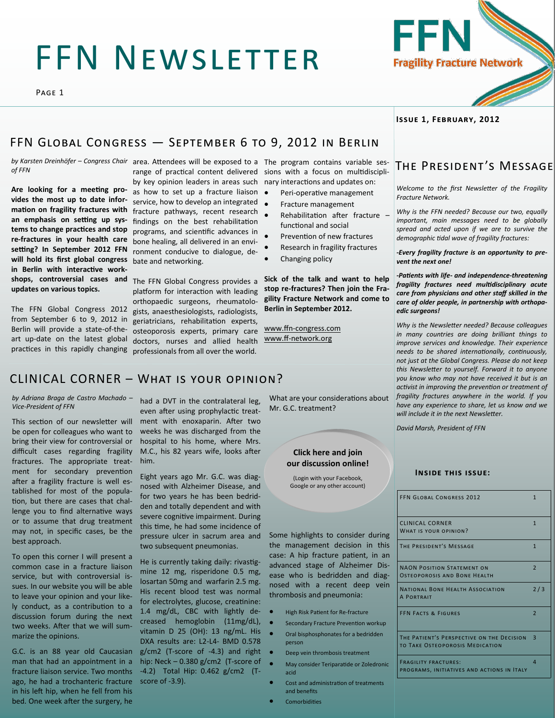# FFN Newsletter

Page 1

**Issue 1, February, 2012**

### FFN GLOBAL CONGRESS - SEPTEMBER 6 TO 9, 2012 IN BERLIN

*of FFN*

**Are looking for a meeting provides the most up to date information on fragility fractures with an emphasis on setting up systems to change practices and stop re-fractures in your health care setting? In September 2012 FFN will hold its first global congress in Berlin with interactive workupdates on various topics.**

The FFN Global Congress 2012 from September 6 to 9, 2012 in Berlin will provide a state-of-theart up-date on the latest global practices in this rapidly changing

by Karsten Dreinhöfer – Congress Chair area. Attendees will be exposed to a The program contains variable ses-

as how to set up a fracture liaison . service, how to develop an integrated • fracture pathways, recent research findings on the best rehabilitation programs, and scientific advances in bone healing, all delivered in an environment conducive to dialogue, debate and networking.

**shops, controversial cases and**  The FFN Global Congress provides a platform for interaction with leading orthopaedic surgeons, rheumatologists, anaesthesiologists, radiologists, geriatricians, rehabilitation experts, osteoporosis experts, primary care doctors, nurses and allied health professionals from all over the world.

range of practical content delivered sions with a focus on multidiscipliby key opinion leaders in areas such nary interactions and updates on:

- Peri-operative management
- Fracture management
- Rehabilitation after fracture functional and social
- Prevention of new fractures
- Research in fragility fractures
- Changing policy

**Sick of the talk and want to help stop re-fractures? Then join the Fragility Fracture Network and come to Berlin in September 2012.**

www.ffn-[congress.com](http://www.ffn-congress.com) www.ff-[network.org](http://www.ff-network.org)

### CLINICAL CORNER – What is your opinion?

*by Adriana Braga de Castro Machado – Vice-President of FFN*

This section of our newsletter will be open for colleagues who want to bring their view for controversial or difficult cases regarding fragility fractures. The appropriate treatment for secondary prevention after a fragility fracture is well established for most of the population, but there are cases that challenge you to find alternative ways or to assume that drug treatment may not, in specific cases, be the best approach.

To open this corner I will present a common case in a fracture liaison service, but with controversial issues. In our website you will be able to leave your opinion and your likely conduct, as a contribution to a discussion forum during the next two weeks. After that we will summarize the opinions.

G.C. is an 88 year old Caucasian man that had an appointment in a fracture liaison service. Two months ago, he had a trochanteric fracture in his left hip, when he fell from his bed. One week after the surgery, he

had a DVT in the contralateral leg, even after using prophylactic treatment with enoxaparin. After two weeks he was discharged from the hospital to his home, where Mrs. M.C., his 82 years wife, looks after him.

Eight years ago Mr. G.C. was diagnosed with Alzheimer Disease, and for two years he has been bedridden and totally dependent and with severe cognitive impairment. During this time, he had some incidence of pressure ulcer in sacrum area and two subsequent pneumonias.

He is currently taking daily: rivastigmine 12 mg, risperidone 0.5 mg, losartan 50mg and warfarin 2.5 mg. His recent blood test was normal for electrolytes, glucose, creatinine: 1.4 mg/dL, CBC with lightly decreased hemoglobin (11mg/dL), vitamin D 25 (OH): 13 ng/mL. His DXA results are: L2-L4- BMD 0.578 g/cm2 (T-score of -4.3) and right hip: Neck – 0.380 g/cm2 (T-score of -4.2) Total Hip: 0.462 g/cm2 (Tscore of -3.9).

What are your considerations about Mr. G.C. treatment?

#### **Click here and join [our discussion online!](http://www.ff-network.org/forum.php#/)**

(Login with your Facebook, Google or any other account)

Some highlights to consider during the management decision in this case: A hip fracture patient, in an advanced stage of Alzheimer Disease who is bedridden and diagnosed with a recent deep vein thrombosis and pneumonia:

- High Risk Patient for Re-fracture
- **•** Secondary Fracture Prevention workup
	- Oral bisphosphonates for a bedridden person
	- Deep vein thrombosis treatment
	- May consider Teriparatide or Zoledronic acid
	- Cost and administration of treatments and benefits
- Comorbidities

### The President's Message

*Welcome to the first Newsletter of the Fragility Fracture Network.*

*Why is the FFN needed? Because our two, equally important, main messages need to be globally spread and acted upon if we are to survive the demographic tidal wave of fragility fractures:*

*-Every fragility fracture is an opportunity to prevent the next one!*

*-Patients with life- and independence-threatening fragility fractures need multidisciplinary acute care from physicians and other staff skilled in the care of older people, in partnership with orthopaedic surgeons!*

*Why is the Newsletter needed? Because colleagues in many countries are doing brilliant things to improve services and knowledge. Their experience needs to be shared internationally, continuously, not just at the Global Congress. Please do not keep this Newsletter to yourself. Forward it to anyone you know who may not have received it but is an activist in improving the prevention or treatment of fragility fractures anywhere in the world. If you have any experience to share, let us know and we will include it in the next Newsletter.*

*David Marsh, President of FFN*

#### **Inside this issue:**

| <b>FFN GLOBAL CONGRESS 2012</b>                                                     | $\mathbf{1}$   |
|-------------------------------------------------------------------------------------|----------------|
| <b>CLINICAL CORNER</b><br><b>WHAT IS YOUR OPINION?</b>                              | $\mathbf{1}$   |
| THE PRESIDENT'S MESSAGE                                                             | $\mathbf{1}$   |
| <b>NAON POSITION STATEMENT ON</b><br>OSTEOPOROSIS AND BONE HEALTH                   | $\overline{2}$ |
| <b>NATIONAL BONE HEALTH ASSOCIATION</b><br><b>A PORTRAIT</b>                        | 2/3            |
| <b>FFN FACTS &amp; FIGURES</b>                                                      | $\overline{2}$ |
| THE PATIENT'S PERSPECTIVE ON THE DECISION<br><b>TO TAKE OSTEOPOROSIS MEDICATION</b> | 3              |
| <b>FRAGILITY FRACTURES:</b><br>PROGRAMS, INITIATIVES AND ACTIONS IN ITALY           | $\overline{A}$ |

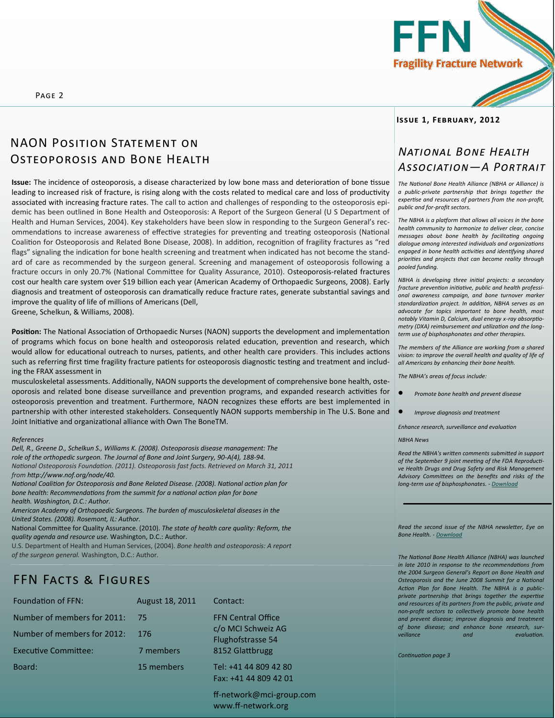



### NAON Position Statement on Osteoporosis and Bone Health

**Issue:** The incidence of osteoporosis, a disease characterized by low bone mass and deterioration of bone tissue leading to increased risk of fracture, is rising along with the costs related to medical care and loss of productivity associated with increasing fracture rates. The call to action and challenges of responding to the osteoporosis epidemic has been outlined in Bone Health and Osteoporosis: A Report of the Surgeon General (U S Department of Health and Human Services, 2004). Key stakeholders have been slow in responding to the Surgeon General's recommendations to increase awareness of effective strategies for preventing and treating osteoporosis (National Coalition for Osteoporosis and Related Bone Disease, 2008). In addition, recognition of fragility fractures as "red flags" signaling the indication for bone health screening and treatment when indicated has not become the standard of care as recommended by the surgeon general. Screening and management of osteoporosis following a fracture occurs in only 20.7% (National Committee for Quality Assurance, 2010). Osteoporosis-related fractures cost our health care system over \$19 billion each year (American Academy of Orthopaedic Surgeons, 2008). Early diagnosis and treatment of osteoporosis can dramatically reduce fracture rates, generate substantial savings and improve the quality of life of millions of Americans (Dell,

Greene, Schelkun, & Williams, 2008).

**Position:** The National Association of Orthopaedic Nurses (NAON) supports the development and implementation of programs which focus on bone health and osteoporosis related education, prevention and research, which would allow for educational outreach to nurses, patients, and other health care providers. This includes actions such as referring first time fragility fracture patients for osteoporosis diagnostic testing and treatment and including the FRAX assessment in

musculoskeletal assessments. Additionally, NAON supports the development of comprehensive bone health, osteoporosis and related bone disease surveillance and prevention programs, and expanded research activities for osteoporosis prevention and treatment. Furthermore, NAON recognizes these efforts are best implemented in partnership with other interested stakeholders. Consequently NAON supports membership in The U.S. Bone and Joint Initiative and organizational alliance with Own The BoneTM.

#### *References*

*Dell, R., Greene D., Schelkun S., Williams K. (2008). Osteoporosis disease management: The role of the orthopedic surgeon. The Journal of Bone and Joint Surgery, 90-A(4), 188-94. National Osteoporosis Foundation. (2011). Osteoporosis fast facts. Retrieved on March 31, 2011 from http://www.nof.org/node/40.*

*National Coalition for Osteoporosis and Bone Related Disease. (2008). National action plan for bone health: Recommendations from the summit for a national action plan for bone health. Washington, D.C.: Author.*

*American Academy of Orthopaedic Surgeons. The burden of musculoskeletal diseases in the United States. (2008). Rosemont, IL: Author.*

National Committee for Quality Assurance. (2010). *The state of health care quality: Reform, the quality agenda and resource use.* Washington, D.C.: Author.

U.S. Department of Health and Human Services, (2004). *Bone health and osteoporosis: A report of the surgeon general.* Washington, D.C.: Author.

### FFN Facts & Figures

| <b>Foundation of FFN:</b>   | August 18, 2011 | Contact:                                  |
|-----------------------------|-----------------|-------------------------------------------|
| Number of members for 2011: | 75              | <b>FFN Central Office</b>                 |
| Number of members for 2012: | 176             | c/o MCI Schweiz A<br>Flughofstrasse 54    |
| <b>Executive Committee:</b> | 7 members       | 8152 Glattbrugg                           |
| Board:                      | 15 members      | Tel: +41 44 809 42<br>$Fay: +A1AA$ 809 43 |

ff-network@mci-group.com www.ff-network.org

AG

 $.280$  $1201$ 

#### **Issue 1, February, 2012**

### *National Bone Health Association—A Portrait*

*The National Bone Health Alliance (NBHA or Alliance) is a public-private partnership that brings together the expertise and resources of partners from the non-profit, public and for-profit sectors.*

*The NBHA is a platform that allows all voices in the bone health community to harmonize to deliver clear, concise messages about bone health by facilitating ongoing dialogue among interested individuals and organizations engaged in bone health activities and identifying shared priorities and projects that can become reality through pooled funding.*

*NBHA is developing three initial projects: a secondary fracture prevention initiative, public and health professional awareness campaign, and bone turnover marker standardization project. In addition, NBHA serves as an advocate for topics important to bone health, most notably Vitamin D, Calcium, dual energy x-ray absorptiometry (DXA) reimbursement and utilization and the longterm use of bisphosphonates and other therapies.*

*The members of the Alliance are working from a shared vision: to improve the overall health and quality of life of all Americans by enhancing their bone health.*

*The NBHA's areas of focus include:*

- *Promote bone health and prevent disease*
- *Improve diagnosis and treatment*

*Enhance research, surveillance and evaluation*

#### *NBHA News*

*Read the NBHA's written comments submitted in support of the September 9 joint meeting of the FDA Reproductive Health Drugs and Drug Safety and Risk Management Advisory Committees on the benefits and risks of the long-term use of bisphosphonates. - [Download](http://www.nationalbonehealthalliance.org/sites/default/files/pdfs/NBHA-FDA_Ad_Comm_Meet-Bisphosponates-08-25-2011.pdf)*

*Read the second issue of the NBHA newsletter, Eye on Bone Health. - [Download](http://www.nationalbonehealthalliance.org/sites/default/files/upload/92/12122011_NBHA_newsletter.pdf)*

*The National Bone Health Alliance (NBHA) was launched in late 2010 in response to the recommendations from the 2004 Surgeon General's Report on Bone Health and Osteoporosis and the June 2008 Summit for a National Action Plan for Bone Health. The NBHA is a publicprivate partnership that brings together the expertise and resources of its partners from the public, private and non-profit sectors to collectively promote bone health and prevent disease; improve diagnosis and treatment of bone disease; and enhance bone research, surveillance and evaluation.* 

*Continuation page 3*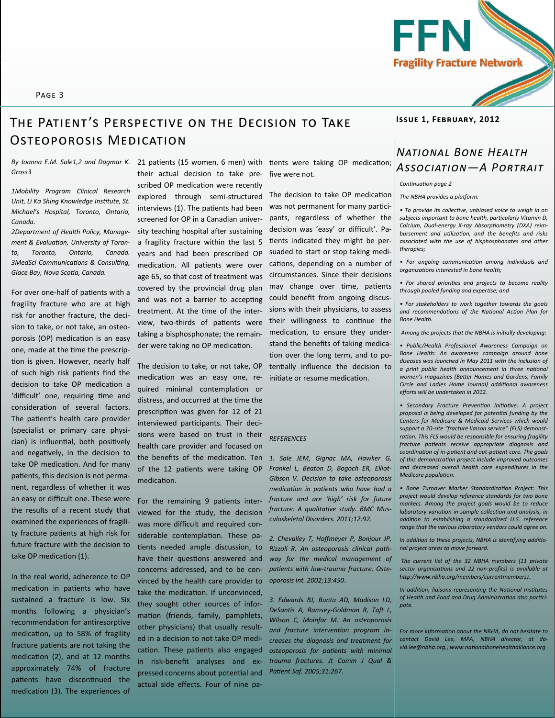

#### Page 3

## **Issue 1, February, 2012** The Patient 's Perspective on the Decision to Take Osteoporosis Medication

*Gross3*

*1Mobility Program Clinical Research Unit, Li Ka Shing Knowledge Institute, St. Michael's Hospital, Toronto, Ontario, Canada.* 

*2Department of Health Policy, Management & Evaluation, University of Toronto, Toronto, Ontario, Canada. 3MedSci Communications & Consulting, Glace Bay, Nova Scotia, Canada.*

For over one-half of patients with a fragility fracture who are at high risk for another fracture, the decision to take, or not take, an osteoporosis (OP) medication is an easy one, made at the time the prescription is given. However, nearly half of such high risk patients find the decision to take OP medication a 'difficult' one, requiring time and consideration of several factors. The patient's health care provider (specialist or primary care physician) is influential, both positively and negatively, in the decision to take OP medication. And for many patients, this decision is not permanent, regardless of whether it was an easy or difficult one. These were the results of a recent study that examined the experiences of fragility fracture patients at high risk for future fracture with the decision to take OP medication (1).

In the real world, adherence to OP medication in patients who have sustained a fracture is low. Six months following a physician's recommendation for antiresorptive medication, up to 58% of fragility fracture patients are not taking the medication (2), and at 12 months approximately 74% of fracture patients have discontinued the medication (3). The experiences of their actual decision to take prescribed OP medication were recently explored through semi-structured interviews (1). The patients had been screened for OP in a Canadian university teaching hospital after sustaining a fragility fracture within the last 5 years and had been prescribed OP medication. All patients were over age 65, so that cost of treatment was covered by the provincial drug plan and was not a barrier to accepting treatment. At the time of the interview, two-thirds of patients were taking a bisphosphonate; the remainder were taking no OP medication.

The decision to take, or not take, OP medication was an easy one, required minimal contemplation or distress, and occurred at the time the prescription was given for 12 of 21 interviewed participants. Their decisions were based on trust in their health care provider and focused on the benefits of the medication. Ten *1. Sale JEM, Gignac MA, Hawker G,*  of the 12 patients were taking OP medication.

For the remaining 9 patients interviewed for the study, the decision was more difficult and required considerable contemplation. These patients needed ample discussion, to have their questions answered and concerns addressed, and to be convinced by the health care provider to take the medication. If unconvinced, they sought other sources of information (friends, family, pamphlets, other physicians) that usually resulted in a decision to not take OP medication. These patients also engaged in risk-benefit analyses and expressed concerns about potential and actual side effects. Four of nine pa-

five were not.

The decision to take OP medication was not permanent for many participants, regardless of whether the decision was 'easy' or difficult'. Patients indicated they might be persuaded to start or stop taking medications, depending on a number of circumstances. Since their decisions may change over time, patients could benefit from ongoing discussions with their physicians, to assess their willingness to continue the medication, to ensure they understand the benefits of taking medication over the long term, and to potentially influence the decision to initiate or resume medication.

#### *REFERENCES*

*Frankel L, Beaton D, Bogoch ER, Elliot-Gibson V. Decision to take osteoporosis medication in patients who have had a fracture and are 'high' risk for future fracture: A qualitative study. BMC Musculoskeletal Disorders. 2011;12:92.*

*2. Chevalley T, Hoffmeyer P, Bonjour JP, Rizzoli R. An osteoporosis clinical pathway for the medical management of patients with low-trauma fracture. Osteoporosis Int. 2002;13:450*.

*3. Edwards BJ, Bunta AD, Madison LD, DeSantis A, Ramsey-Goldman R, Taft L, Wilson C, Moinfar M. An osteoporosis and fracture intervention program increases the diagnosis and treatment for osteoporosis for patients with minimal trauma fractures. Jt Comm J Qual & Patient Saf. 2005;31:267.*

### By Joanna E.M. Sale1,2 and Dagmar K. 21 patients (15 women, 6 men) with tients were taking OP medication;<br>Gross3 **ASSOCIATION—A PORTRAIT** *National Bone Health*

*Continuation page 2*

*The NBHA provides a platform:*

*• To provide its collective, unbiased voice to weigh in on subjects important to bone health, particularly Vitamin D, Calcium, Dual-energy X-ray Absorptiometry (DXA) reimbursement and utilization, and the benefits and risks associated with the use of bisphosphonates and other therapies;*

*• For ongoing communication among individuals and organizations interested in bone health;*

*• For shared priorities and projects to become reality through pooled funding and expertise; and*

*• For stakeholders to work together towards the goals and recommendations of the National Action Plan for Bone Health.*

*Among the projects that the NBHA is initially developing:* 

*• Public/Health Professional Awareness Campaign on Bone Health: An awareness campaign around bone diseases was launched in May 2011 with the inclusion of a print public health announcement in three national women's magazines (Better Homes and Gardens, Family Circle and Ladies Home Journal) additional awareness efforts will be undertaken in 2012.* 

*• Secondary Fracture Prevention Initiative: A project proposal is being developed for potential funding by the Centers for Medicare & Medicaid Services which would support a 70-site "fracture liaison service" (FLS) demonstration. This FLS would be responsible for ensuring fragility fracture patients receive appropriate diagnosis and coordination of in-patient and out-patient care. The goals of this demonstration project include improved outcomes and decreased overall health care expenditures in the Medicare population.*

*• Bone Turnover Marker Standardization Project: This project would develop reference standards for two bone markers. Among the project goals would be to reduce laboratory variation in sample collection and analysis, in addition to establishing a standardized U.S. reference range that the various laboratory vendors could agree on.* 

*In addition to these projects, NBHA is identifying additional project areas to move forward.* 

*The current list of the 32 NBHA members (11 private sector organizations and 22 non-profits) is available at http://www.nbha.org/members/currentmembers).* 

*In addition, liaisons representing the National Institutes of Health and Food and Drug Administration also participate.* 

*For more information about the NBHA, do not hesitate to contact David Lee, MPA, NBHA director, at david.lee@nbha.org., www.nationalbonehealthalliance.org*